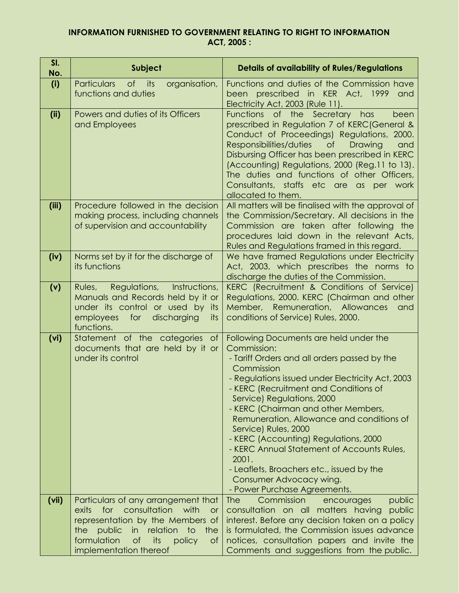## **INFORMATION FURNISHED TO GOVERNMENT RELATING TO RIGHT TO INFORMATION ACT, 2005 :**

| SI.<br>No. | Subject                                                                                                                                                                                                                                                        | <b>Details of availability of Rules/Regulations</b>                                                                                                                                                                                                                                                                                                                                                                                                                                                                                                                |
|------------|----------------------------------------------------------------------------------------------------------------------------------------------------------------------------------------------------------------------------------------------------------------|--------------------------------------------------------------------------------------------------------------------------------------------------------------------------------------------------------------------------------------------------------------------------------------------------------------------------------------------------------------------------------------------------------------------------------------------------------------------------------------------------------------------------------------------------------------------|
| (i)        | <b>Particulars</b><br>of its<br>organisation,<br>functions and duties                                                                                                                                                                                          | Functions and duties of the Commission have<br>been prescribed in KER Act, 1999<br>and<br>Electricity Act, 2003 (Rule 11).                                                                                                                                                                                                                                                                                                                                                                                                                                         |
| (ii)       | Powers and duties of its Officers<br>and Employees                                                                                                                                                                                                             | Functions of the Secretary has<br>been<br>prescribed in Regulation 7 of KERC (General &<br>Conduct of Proceedings) Regulations, 2000.<br>Responsibilities/duties<br>$\circ$ f<br>Drawing<br>and<br>Disbursing Officer has been prescribed in KERC<br>(Accounting) Regulations, 2000 (Reg.11 to 13).<br>The duties and functions of other Officers,<br>Consultants, staffs etc are as<br>per work<br>allocated to them.                                                                                                                                             |
| (iii)      | Procedure followed in the decision<br>making process, including channels<br>of supervision and accountability                                                                                                                                                  | All matters will be finalised with the approval of<br>the Commission/Secretary. All decisions in the<br>Commission are taken after following the<br>procedures laid down in the relevant Acts,<br>Rules and Regulations framed in this regard.                                                                                                                                                                                                                                                                                                                     |
| (iv)       | Norms set by it for the discharge of<br>its functions                                                                                                                                                                                                          | We have framed Regulations under Electricity<br>Act, 2003, which prescribes the norms to<br>discharge the duties of the Commission.                                                                                                                                                                                                                                                                                                                                                                                                                                |
| (v)        | Instructions,<br>Regulations,<br>Rules,<br>Manuals and Records held by it or<br>under its control or used by its<br>employees for<br>discharging<br>its<br>functions.                                                                                          | KERC (Recruitment & Conditions of Service)<br>Regulations, 2000. KERC (Chairman and other<br>Member, Remuneration, Allowances<br>and<br>conditions of Service) Rules, 2000.                                                                                                                                                                                                                                                                                                                                                                                        |
| (vi)       | Statement of the categories of<br>documents that are held by it or<br>under its control                                                                                                                                                                        | Following Documents are held under the<br>Commission:<br>- Tariff Orders and all orders passed by the<br>Commission<br>- Regulations issued under Electricity Act, 2003<br>- KERC (Recruitment and Conditions of<br>Service) Regulations, 2000<br>- KERC (Chairman and other Members,<br>Remuneration, Allowance and conditions of<br>Service) Rules, 2000<br>- KERC (Accounting) Regulations, 2000<br>- KERC Annual Statement of Accounts Rules,<br>2001.<br>- Leaflets, Broachers etc., issued by the<br>Consumer Advocacy wing.<br>- Power Purchase Agreements. |
| (vii)      | Particulars of any arrangement that<br>consultation<br>with<br>exits<br>for<br>or<br>representation by the Members of<br>public<br>relation<br>$\overline{1}$<br>the<br>in<br>the<br>formulation<br>its<br><b>of</b><br>policy<br>of<br>implementation thereof | Commission<br>public<br>The<br>encourages<br>consultation on all matters having<br>public<br>interest. Before any decision taken on a policy<br>is formulated, the Commission issues advance<br>notices, consultation papers and invite the<br>Comments and suggestions from the public.                                                                                                                                                                                                                                                                           |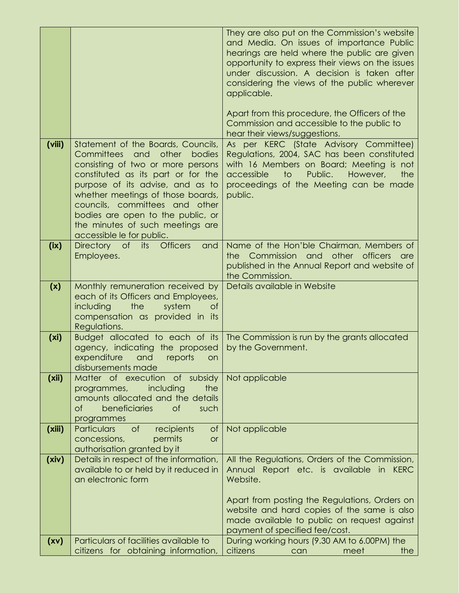|        |                                                                                                                                                                                                                                                                                                                                                                        | They are also put on the Commission's website<br>and Media. On issues of importance Public<br>hearings are held where the public are given<br>opportunity to express their views on the issues<br>under discussion. A decision is taken after<br>considering the views of the public wherever<br>applicable.<br>Apart from this procedure, the Officers of the<br>Commission and accessible to the public to<br>hear their views/suggestions. |
|--------|------------------------------------------------------------------------------------------------------------------------------------------------------------------------------------------------------------------------------------------------------------------------------------------------------------------------------------------------------------------------|-----------------------------------------------------------------------------------------------------------------------------------------------------------------------------------------------------------------------------------------------------------------------------------------------------------------------------------------------------------------------------------------------------------------------------------------------|
| (viii) | Statement of the Boards, Councils,<br>Committees<br>other<br>bodies<br>and<br>consisting of two or more persons<br>constituted as its part or for the<br>purpose of its advise, and as to<br>whether meetings of those boards,<br>councils, committees and other<br>bodies are open to the public, or<br>the minutes of such meetings are<br>accessible le for public. | As per KERC (State Advisory Committee)<br>Regulations, 2004, SAC has been constituted<br>with 16 Members on Board; Meeting is not<br>accessible<br>$\overline{1}$<br>Public.<br>However,<br>the<br>proceedings of the Meeting can be made<br>public.                                                                                                                                                                                          |
| (ix)   | <b>Officers</b><br>Directory of its<br>and<br>Employees.                                                                                                                                                                                                                                                                                                               | Name of the Hon'ble Chairman, Members of<br>the Commission and other officers<br><b>are</b><br>published in the Annual Report and website of<br>the Commission.                                                                                                                                                                                                                                                                               |
| (x)    | Monthly remuneration received by<br>each of its Officers and Employees,<br>the<br>including<br>system<br>$\circ$ f<br>compensation as provided in its<br>Regulations.                                                                                                                                                                                                  | Details available in Website                                                                                                                                                                                                                                                                                                                                                                                                                  |
| (xi)   | Budget allocated to each of its<br>agency, indicating the proposed<br>expenditure<br>and<br>reports<br>on<br>disbursements made                                                                                                                                                                                                                                        | The Commission is run by the grants allocated<br>by the Government.                                                                                                                                                                                                                                                                                                                                                                           |
| (xii)  | Matter of execution of subsidy<br>including<br>the<br>programmes,<br>amounts allocated and the details<br>$\circ$ f<br>beneficiaries<br>$\circ$ f<br>such<br>programmes                                                                                                                                                                                                | Not applicable                                                                                                                                                                                                                                                                                                                                                                                                                                |
| (xiii) | $\circ$ f<br>Particulars<br>recipients<br>$\circ$ f<br>concessions,<br>permits<br><b>or</b><br>authorisation granted by it                                                                                                                                                                                                                                             | Not applicable                                                                                                                                                                                                                                                                                                                                                                                                                                |
| (xiv)  | Details in respect of the information,<br>available to or held by it reduced in<br>an electronic form                                                                                                                                                                                                                                                                  | All the Regulations, Orders of the Commission,<br>Annual Report etc. is available in<br>KERC<br>Website.<br>Apart from posting the Regulations, Orders on<br>website and hard copies of the same is also<br>made available to public on request against<br>payment of specified fee/cost.                                                                                                                                                     |
| (xv)   | Particulars of facilities available to<br>citizens for obtaining information,                                                                                                                                                                                                                                                                                          | During working hours (9.30 AM to 6.00PM) the<br>citizens<br>meet<br>the $ $<br>can                                                                                                                                                                                                                                                                                                                                                            |